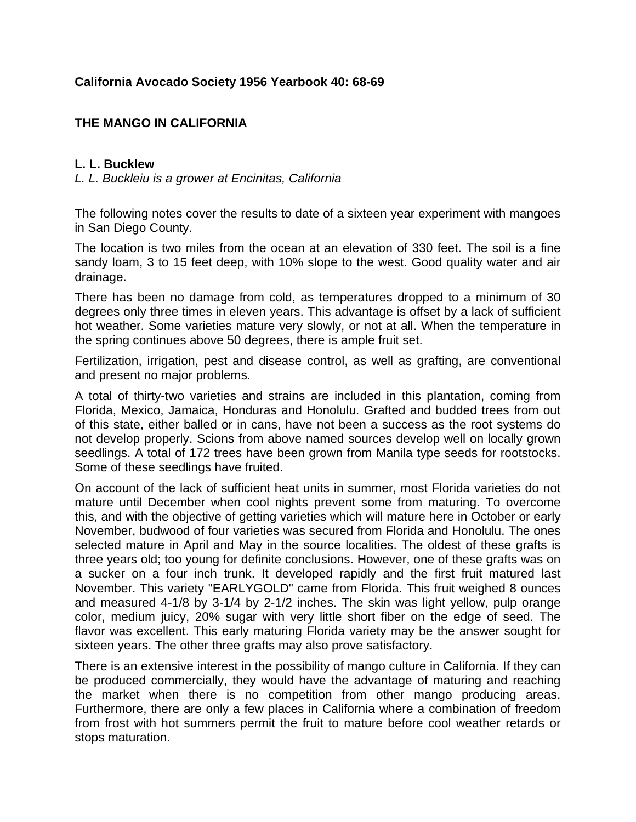## **California Avocado Society 1956 Yearbook 40: 68-69**

## **THE MANGO IN CALIFORNIA**

## **L. L. Bucklew**

*L. L. Buckleiu is a grower at Encinitas, California*

The following notes cover the results to date of a sixteen year experiment with mangoes in San Diego County.

The location is two miles from the ocean at an elevation of 330 feet. The soil is a fine sandy loam, 3 to 15 feet deep, with 10% slope to the west. Good quality water and air drainage.

There has been no damage from cold, as temperatures dropped to a minimum of 30 degrees only three times in eleven years. This advantage is offset by a lack of sufficient hot weather. Some varieties mature very slowly, or not at all. When the temperature in the spring continues above 50 degrees, there is ample fruit set.

Fertilization, irrigation, pest and disease control, as well as grafting, are conventional and present no major problems.

A total of thirty-two varieties and strains are included in this plantation, coming from Florida, Mexico, Jamaica, Honduras and Honolulu. Grafted and budded trees from out of this state, either balled or in cans, have not been a success as the root systems do not develop properly. Scions from above named sources develop well on locally grown seedlings. A total of 172 trees have been grown from Manila type seeds for rootstocks. Some of these seedlings have fruited.

On account of the lack of sufficient heat units in summer, most Florida varieties do not mature until December when cool nights prevent some from maturing. To overcome this, and with the objective of getting varieties which will mature here in October or early November, budwood of four varieties was secured from Florida and Honolulu. The ones selected mature in April and May in the source localities. The oldest of these grafts is three years old; too young for definite conclusions. However, one of these grafts was on a sucker on a four inch trunk. It developed rapidly and the first fruit matured last November. This variety "EARLYGOLD" came from Florida. This fruit weighed 8 ounces and measured 4-1/8 by 3-1/4 by 2-1/2 inches. The skin was light yellow, pulp orange color, medium juicy, 20% sugar with very little short fiber on the edge of seed. The flavor was excellent. This early maturing Florida variety may be the answer sought for sixteen years. The other three grafts may also prove satisfactory.

There is an extensive interest in the possibility of mango culture in California. If they can be produced commercially, they would have the advantage of maturing and reaching the market when there is no competition from other mango producing areas. Furthermore, there are only a few places in California where a combination of freedom from frost with hot summers permit the fruit to mature before cool weather retards or stops maturation.